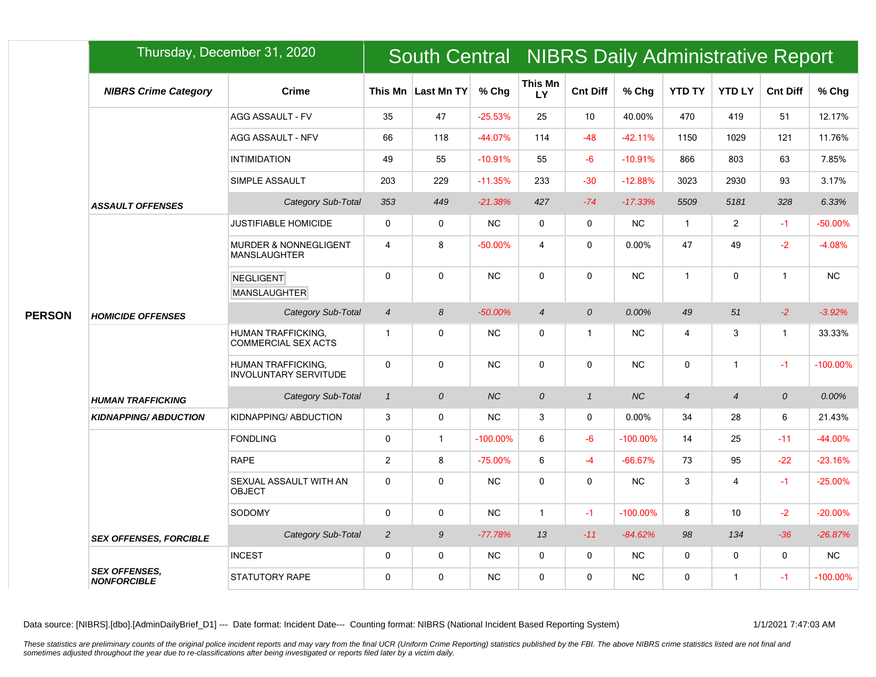|               |                                            | Thursday, December 31, 2020                               |                |                    |             | South Central NIBRS Daily Administrative Report |                 |             |                          |                  |                 |             |  |
|---------------|--------------------------------------------|-----------------------------------------------------------|----------------|--------------------|-------------|-------------------------------------------------|-----------------|-------------|--------------------------|------------------|-----------------|-------------|--|
|               | <b>NIBRS Crime Category</b>                | <b>Crime</b>                                              |                | This Mn Last Mn TY | % Chg       | This Mn<br>LY                                   | <b>Cnt Diff</b> | % Chg       | <b>YTD TY</b>            | <b>YTD LY</b>    | <b>Cnt Diff</b> | % Chg       |  |
|               |                                            | <b>AGG ASSAULT - FV</b>                                   | 35             | 47                 | $-25.53%$   | 25                                              | 10              | 40.00%      | 470                      | 419              | 51              | 12.17%      |  |
|               |                                            | AGG ASSAULT - NFV                                         | 66             | 118                | $-44.07%$   | 114                                             | $-48$           | $-42.11%$   | 1150                     | 1029             | 121             | 11.76%      |  |
|               |                                            | <b>INTIMIDATION</b>                                       | 49             | 55                 | $-10.91%$   | 55                                              | $-6$            | $-10.91%$   | 866                      | 803              | 63              | 7.85%       |  |
|               |                                            | SIMPLE ASSAULT                                            | 203            | 229                | $-11.35%$   | 233                                             | $-30$           | $-12.88%$   | 3023                     | 2930             | 93              | 3.17%       |  |
|               | <b>ASSAULT OFFENSES</b>                    | Category Sub-Total                                        | 353            | 449                | $-21.38%$   | 427                                             | $-74$           | $-17.33%$   | 5509                     | 5181             | 328             | 6.33%       |  |
|               |                                            | <b>JUSTIFIABLE HOMICIDE</b>                               | $\mathbf 0$    | 0                  | <b>NC</b>   | $\mathbf 0$                                     | $\mathbf 0$     | <b>NC</b>   | $\overline{1}$           | $\overline{2}$   | $-1$            | $-50.00%$   |  |
|               |                                            | <b>MURDER &amp; NONNEGLIGENT</b><br><b>MANSLAUGHTER</b>   | $\overline{4}$ | 8                  | $-50.00%$   | $\overline{4}$                                  | $\Omega$        | 0.00%       | 47                       | 49               | $-2$            | $-4.08%$    |  |
|               |                                            | <b>NEGLIGENT</b><br><b>MANSLAUGHTER</b>                   | $\mathbf 0$    | $\mathbf 0$        | <b>NC</b>   | 0                                               | $\mathbf{0}$    | <b>NC</b>   | $\mathbf{1}$             | $\mathbf 0$      | $\mathbf{1}$    | <b>NC</b>   |  |
| <b>PERSON</b> | <b>HOMICIDE OFFENSES</b>                   | Category Sub-Total                                        | $\overline{4}$ | 8                  | $-50.00%$   | $\overline{4}$                                  | $\overline{O}$  | 0.00%       | 49                       | 51               | $-2$            | $-3.92%$    |  |
|               |                                            | <b>HUMAN TRAFFICKING.</b><br><b>COMMERCIAL SEX ACTS</b>   | $\overline{1}$ | $\mathbf 0$        | <b>NC</b>   | $\mathbf 0$                                     | 1               | <b>NC</b>   | $\overline{4}$           | 3                | $\mathbf{1}$    | 33.33%      |  |
|               |                                            | <b>HUMAN TRAFFICKING.</b><br><b>INVOLUNTARY SERVITUDE</b> | $\mathbf{0}$   | $\mathbf 0$        | <b>NC</b>   | 0                                               | $\mathbf{0}$    | <b>NC</b>   | $\mathbf 0$              | $\mathbf{1}$     | $-1$            | $-100.00\%$ |  |
|               | <b>HUMAN TRAFFICKING</b>                   | Category Sub-Total                                        | $\mathbf{1}$   | $\cal O$           | NC          | $\boldsymbol{0}$                                | $\mathbf{1}$    | <b>NC</b>   | $\overline{\mathcal{A}}$ | $\overline{4}$   | ${\cal O}$      | 0.00%       |  |
|               | <b>KIDNAPPING/ ABDUCTION</b>               | KIDNAPPING/ ABDUCTION                                     | 3              | $\mathbf 0$        | <b>NC</b>   | 3                                               | $\mathbf{0}$    | 0.00%       | 34                       | 28               | 6               | 21.43%      |  |
|               |                                            | <b>FONDLING</b>                                           | $\mathbf 0$    | $\mathbf{1}$       | $-100.00\%$ | 6                                               | $-6$            | $-100.00\%$ | 14                       | 25               | $-11$           | $-44.00%$   |  |
|               |                                            | <b>RAPE</b>                                               | 2              | 8                  | $-75.00%$   | 6                                               | $-4$            | $-66.67%$   | 73                       | 95               | $-22$           | $-23.16%$   |  |
|               |                                            | SEXUAL ASSAULT WITH AN<br><b>OBJECT</b>                   | $\mathbf 0$    | $\mathbf 0$        | <b>NC</b>   | 0                                               | 0               | <b>NC</b>   | 3                        | 4                | $-1$            | $-25.00%$   |  |
|               |                                            | SODOMY                                                    | $\mathbf{0}$   | $\mathbf 0$        | <b>NC</b>   | $\mathbf{1}$                                    | $-1$            | $-100.00\%$ | 8                        | 10 <sup>10</sup> | $-2$            | $-20.00%$   |  |
|               | <b>SEX OFFENSES, FORCIBLE</b>              | Category Sub-Total                                        | $\overline{2}$ | 9                  | $-77.78%$   | 13                                              | $-11$           | $-84.62%$   | 98                       | 134              | $-36$           | $-26.87%$   |  |
|               |                                            | <b>INCEST</b>                                             | $\mathbf 0$    | $\mathbf 0$        | <b>NC</b>   | $\mathbf 0$                                     | $\mathbf 0$     | <b>NC</b>   | $\mathbf 0$              | $\mathbf 0$      | 0               | <b>NC</b>   |  |
|               | <b>SEX OFFENSES.</b><br><b>NONFORCIBLE</b> | <b>STATUTORY RAPE</b>                                     | $\mathbf{0}$   | $\mathbf{0}$       | <b>NC</b>   | $\mathbf 0$                                     | 0               | <b>NC</b>   | $\mathbf 0$              | $\mathbf{1}$     | $-1$            | $-100.00\%$ |  |

Data source: [NIBRS].[dbo].[AdminDailyBrief\_D1] --- Date format: Incident Date--- Counting format: NIBRS (National Incident Based Reporting System) 1/1/2021 7:47:03 AM

These statistics are preliminary counts of the original police incident reports and may vary from the final UCR (Uniform Crime Reporting) statistics published by the FBI. The above NIBRS crime statistics listed are not fin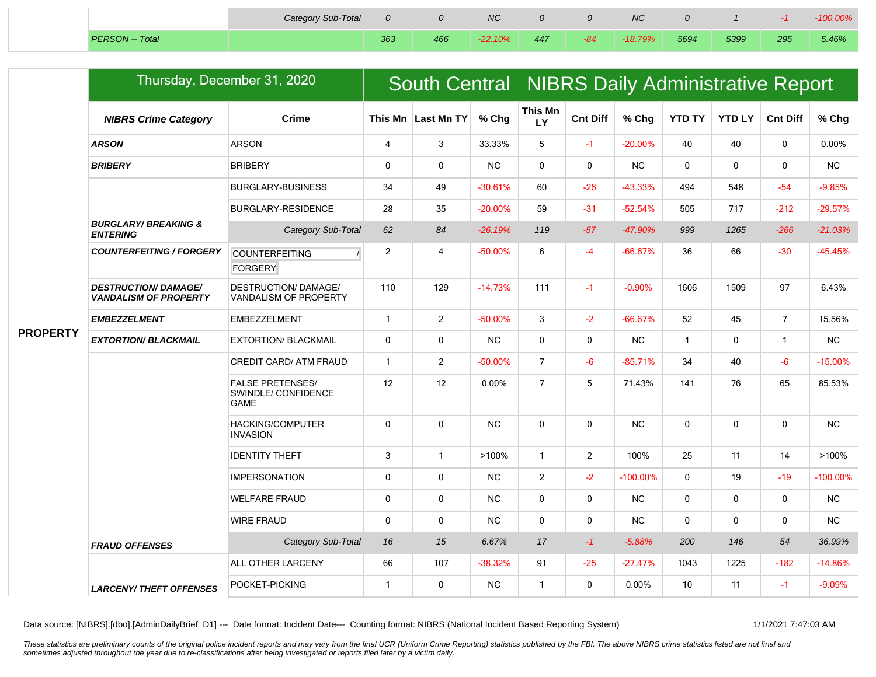|                        | Category Sub-Total |     |     | <b>NC</b> |     |       | <b>NC</b> |      |      |     | -100.00% |
|------------------------|--------------------|-----|-----|-----------|-----|-------|-----------|------|------|-----|----------|
| <b>PERSON</b> -- Total |                    | 363 | 466 | $-22.10%$ | 447 | $-84$ | $-18.79%$ | 5694 | 5399 | 295 | 5.46%    |

| <b>NIBRS Crime Category</b>                                 | <b>Crime</b>                                                  |                             |                | % Chg                | <b>This Mn</b><br>LY | <b>Cnt Diff</b> | % Chg       | <b>YTD TY</b> | <b>YTD LY</b> | <b>Cnt Diff</b> | % Chg                                           |  |  |
|-------------------------------------------------------------|---------------------------------------------------------------|-----------------------------|----------------|----------------------|----------------------|-----------------|-------------|---------------|---------------|-----------------|-------------------------------------------------|--|--|
| <b>ARSON</b>                                                | <b>ARSON</b>                                                  | $\overline{4}$              | 3              | 33.33%               | 5                    | $-1$            | $-20.00%$   | 40            | 40            | $\mathbf 0$     | 0.00%                                           |  |  |
| <b>BRIBERY</b>                                              | <b>BRIBERY</b>                                                | 0                           | $\mathbf 0$    | <b>NC</b>            | $\mathbf{0}$         | $\mathbf 0$     | <b>NC</b>   | $\mathbf 0$   | 0             | $\mathbf 0$     | <b>NC</b>                                       |  |  |
|                                                             | <b>BURGLARY-BUSINESS</b>                                      | 34                          | 49             | $-30.61%$            | 60                   | $-26$           | $-43.33%$   | 494           | 548           | $-54$           | $-9.85%$                                        |  |  |
|                                                             | <b>BURGLARY-RESIDENCE</b>                                     | 28                          | 35             | $-20.00\%$           | 59                   | $-31$           | $-52.54%$   | 505           | 717           | $-212$          | $-29.57%$                                       |  |  |
| <b>BURGLARY/ BREAKING &amp;</b><br><b>ENTERING</b>          | Category Sub-Total                                            | 62                          | 84             | $-26.19%$            | 119                  | $-57$           | $-47.90%$   | 999           | 1265          | $-266$          | $-21.03%$                                       |  |  |
| <b>COUNTERFEITING / FORGERY</b>                             | <b>COUNTERFEITING</b>                                         | $\overline{2}$              | $\overline{4}$ | $-50.00%$            | 6                    | $-4$            | $-66.67%$   | 36            | 66            | $-30$           | $-45.45%$                                       |  |  |
|                                                             | <b>FORGERY</b>                                                |                             |                |                      |                      |                 |             |               |               |                 |                                                 |  |  |
| <b>DESTRUCTION/ DAMAGE/</b><br><b>VANDALISM OF PROPERTY</b> | <b>DESTRUCTION/ DAMAGE/</b><br>VANDALISM OF PROPERTY          | 110                         | 129            | $-14.73%$            | 111                  | $-1$            | $-0.90%$    | 1606          | 1509          | 97              | 6.43%                                           |  |  |
| <b>EMBEZZELMENT</b>                                         | <b>EMBEZZELMENT</b>                                           | $\mathbf{1}$                | 2              | $-50.00%$            | 3                    | $-2$            | $-66.67%$   | 52            | 45            | $\overline{7}$  | 15.56%                                          |  |  |
| <b>EXTORTION/ BLACKMAIL</b>                                 | <b>EXTORTION/ BLACKMAIL</b>                                   | 0                           | $\mathbf 0$    | <b>NC</b>            | $\mathbf 0$          | $\mathbf 0$     | <b>NC</b>   | $\mathbf{1}$  | 0             | $\mathbf{1}$    | <b>NC</b>                                       |  |  |
|                                                             | CREDIT CARD/ ATM FRAUD                                        | $\mathbf{1}$                | $\overline{2}$ | $-50.00%$            | $\overline{7}$       | $-6$            | $-85.71%$   | 34            | 40            | $-6$            | $-15.00%$                                       |  |  |
|                                                             | <b>FALSE PRETENSES/</b><br>SWINDLE/ CONFIDENCE<br><b>GAME</b> | 12                          | 12             | 0.00%                | $\overline{7}$       | 5               | 71.43%      | 141           | 76            | 65              | 85.53%                                          |  |  |
|                                                             | HACKING/COMPUTER<br><b>INVASION</b>                           | 0                           | $\mathbf 0$    | NC                   | $\mathbf 0$          | $\mathbf 0$     | <b>NC</b>   | $\mathbf 0$   | 0             | $\pmb{0}$       | NC                                              |  |  |
|                                                             | <b>IDENTITY THEFT</b>                                         | 3                           | $\overline{1}$ | >100%                | $\mathbf{1}$         | $\overline{2}$  | 100%        | 25            | 11            | 14              | $>100\%$                                        |  |  |
|                                                             | <b>IMPERSONATION</b>                                          | 0                           | $\mathbf 0$    | <b>NC</b>            | 2                    | $-2$            | $-100.00\%$ | $\mathbf 0$   | 19            | $-19$           | $-100.00\%$                                     |  |  |
|                                                             | <b>WELFARE FRAUD</b>                                          | 0                           | $\mathbf{0}$   | $NC$                 | $\mathbf 0$          | $\mathbf{0}$    | <b>NC</b>   | $\mathbf{0}$  | 0             | 0               | $NC$                                            |  |  |
|                                                             | <b>WIRE FRAUD</b>                                             | 0                           | $\mathbf 0$    | <b>NC</b>            | $\mathbf 0$          | $\mathbf 0$     | <b>NC</b>   | $\mathbf 0$   | 0             | $\mathbf 0$     | <b>NC</b>                                       |  |  |
| <b>FRAUD OFFENSES</b>                                       | Category Sub-Total                                            | 16                          | 15             | 6.67%                | 17                   | $-1$            | $-5.88%$    | 200           | 146           | 54              | 36.99%                                          |  |  |
|                                                             | ALL OTHER LARCENY                                             | 66                          | 107            | $-38.32%$            | 91                   | $-25$           | $-27.47%$   | 1043          | 1225          | $-182$          | $-14.86%$                                       |  |  |
| <b>LARCENY/ THEFT OFFENSES</b>                              | POCKET-PICKING                                                | $\mathbf{1}$                | $\mathbf{0}$   | <b>NC</b>            | $\mathbf{1}$         | $\mathbf 0$     | 0.00%       | 10            | 11            | $-1$            | $-9.09%$                                        |  |  |
|                                                             |                                                               | Thursday, December 31, 2020 |                | This Mn   Last Mn TY |                      |                 |             |               |               |                 | South Central NIBRS Daily Administrative Report |  |  |

Data source: [NIBRS].[dbo].[AdminDailyBrief\_D1] --- Date format: Incident Date--- Counting format: NIBRS (National Incident Based Reporting System) 1/1/2021 7:47:03 AM

×

These statistics are preliminary counts of the original police incident reports and may vary from the final UCR (Uniform Crime Reporting) statistics published by the FBI. The above NIBRS crime statistics listed are not fin *sometimes adjusted throughout the year due to re-classifications after being investigated or reports filed later by a victim daily.*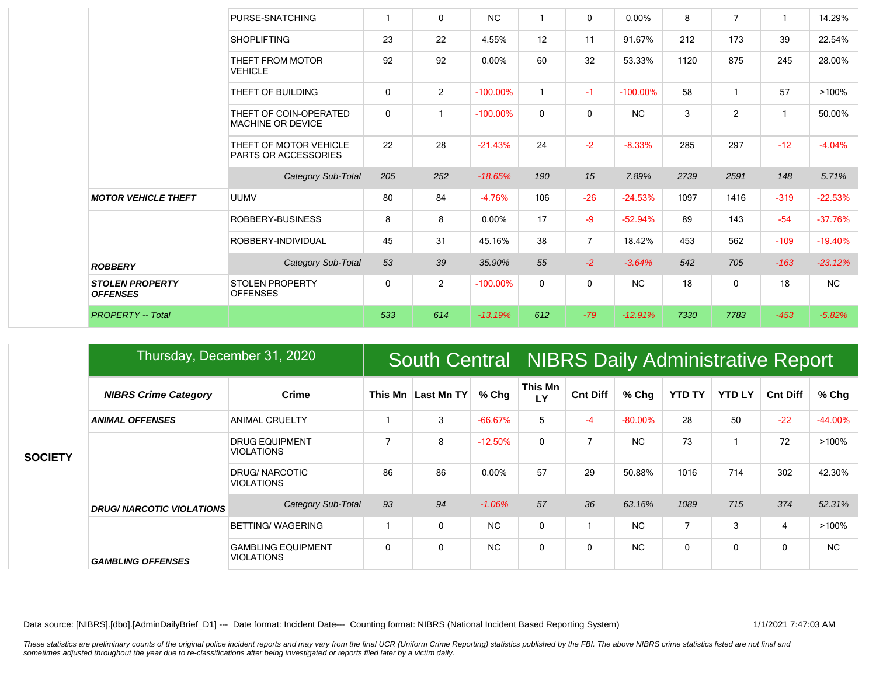|                                           | PURSE-SNATCHING                                       | $\mathbf{1}$ | $\mathbf{0}$   | <b>NC</b>   | $\mathbf{1}$ | $\mathbf{0}$   | 0.00%       | 8    | 7            | -1           | 14.29%    |
|-------------------------------------------|-------------------------------------------------------|--------------|----------------|-------------|--------------|----------------|-------------|------|--------------|--------------|-----------|
|                                           | <b>SHOPLIFTING</b>                                    | 23           | 22             | 4.55%       | 12           | 11             | 91.67%      | 212  | 173          | 39           | 22.54%    |
|                                           | THEFT FROM MOTOR<br><b>VEHICLE</b>                    | 92           | 92             | $0.00\%$    | 60           | 32             | 53.33%      | 1120 | 875          | 245          | 28.00%    |
|                                           | THEFT OF BUILDING                                     | $\Omega$     | 2              | $-100.00\%$ | $\mathbf{1}$ | $-1$           | $-100.00\%$ | 58   |              | 57           | >100%     |
|                                           | THEFT OF COIN-OPERATED<br><b>MACHINE OR DEVICE</b>    | $\mathbf{0}$ | -1             | $-100.00\%$ | 0            | $\mathbf{0}$   | <b>NC</b>   | 3    | 2            | $\mathbf{1}$ | 50.00%    |
|                                           | THEFT OF MOTOR VEHICLE<br><b>PARTS OR ACCESSORIES</b> | 22           | 28             | $-21.43%$   | 24           | $-2$           | $-8.33%$    | 285  | 297          | $-12$        | $-4.04%$  |
|                                           | Category Sub-Total                                    | 205          | 252            | $-18.65%$   | 190          | 15             | 7.89%       | 2739 | 2591         | 148          | 5.71%     |
| <b>MOTOR VEHICLE THEFT</b>                | <b>UUMV</b>                                           | 80           | 84             | $-4.76%$    | 106          | $-26$          | $-24.53%$   | 1097 | 1416         | $-319$       | $-22.53%$ |
|                                           | ROBBERY-BUSINESS                                      | 8            | 8              | 0.00%       | 17           | $-9$           | $-52.94%$   | 89   | 143          | $-54$        | $-37.76%$ |
|                                           | ROBBERY-INDIVIDUAL                                    | 45           | 31             | 45.16%      | 38           | $\overline{7}$ | 18.42%      | 453  | 562          | $-109$       | $-19.40%$ |
| <b>ROBBERY</b>                            | Category Sub-Total                                    | 53           | 39             | 35.90%      | 55           | $-2$           | $-3.64%$    | 542  | 705          | $-163$       | $-23.12%$ |
| <b>STOLEN PROPERTY</b><br><b>OFFENSES</b> | <b>STOLEN PROPERTY</b><br><b>OFFENSES</b>             | $\mathbf 0$  | $\overline{2}$ | $-100.00\%$ | $\mathbf 0$  | $\mathbf{0}$   | <b>NC</b>   | 18   | $\mathbf{0}$ | 18           | <b>NC</b> |
|                                           |                                                       |              |                |             |              |                |             |      |              |              |           |

|                | Thursday, December 31, 2020      |                                                |                |                    |           | South Central NIBRS Daily Administrative Report |                 |                |               |               |                 |           |  |  |
|----------------|----------------------------------|------------------------------------------------|----------------|--------------------|-----------|-------------------------------------------------|-----------------|----------------|---------------|---------------|-----------------|-----------|--|--|
| <b>SOCIETY</b> | <b>NIBRS Crime Category</b>      | <b>Crime</b>                                   |                | This Mn Last Mn TY | % Chg     | This Mn<br>LY                                   | <b>Cnt Diff</b> | $%$ Chg        | <b>YTD TY</b> | <b>YTD LY</b> | <b>Cnt Diff</b> | % Chg     |  |  |
|                | <b>ANIMAL OFFENSES</b>           | <b>ANIMAL CRUELTY</b>                          |                | 3                  | $-66.67%$ | 5                                               | $-4$            | $-80.00\%$     | 28            | 50            | $-22$           | $-44.00%$ |  |  |
|                |                                  | <b>DRUG EQUIPMENT</b><br><b>VIOLATIONS</b>     | $\overline{7}$ | 8                  | $-12.50%$ | $\mathbf 0$                                     | $\overline{7}$  | N <sub>C</sub> | 73            |               | 72              | $>100\%$  |  |  |
|                |                                  | <b>DRUG/ NARCOTIC</b><br><b>VIOLATIONS</b>     | 86             | 86                 | $0.00\%$  | 57                                              | 29              | 50.88%         | 1016          | 714           | 302             | 42.30%    |  |  |
|                | <b>DRUG/ NARCOTIC VIOLATIONS</b> | Category Sub-Total                             | 93             | 94                 | $-1.06%$  | 57                                              | 36              | 63.16%         | 1089          | 715           | 374             | 52.31%    |  |  |
|                |                                  | BETTING/WAGERING                               |                | $\mathbf 0$        | <b>NC</b> | $\mathbf 0$                                     |                 | <b>NC</b>      | 7             | 3             | 4               | $>100\%$  |  |  |
|                | <b>GAMBLING OFFENSES</b>         | <b>GAMBLING EQUIPMENT</b><br><b>VIOLATIONS</b> | $\Omega$       | 0                  | <b>NC</b> | 0                                               | $\Omega$        | N <sub>C</sub> | 0             | $\mathbf{0}$  | $\mathbf 0$     | NC.       |  |  |

Data source: [NIBRS].[dbo].[AdminDailyBrief\_D1] --- Date format: Incident Date--- Counting format: NIBRS (National Incident Based Reporting System) 1/1/2021 7:47:03 AM

These statistics are preliminary counts of the original police incident reports and may vary from the final UCR (Uniform Crime Reporting) statistics published by the FBI. The above NIBRS crime statistics listed are not fin